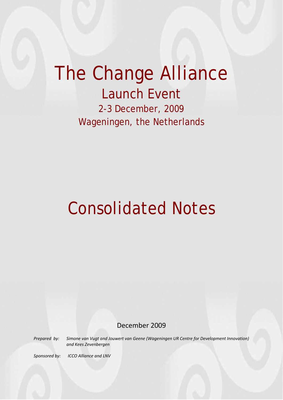## The Change Alliance Launch Event

2-3 December, 2009 Wageningen, the Netherlands

# Consolidated Notes

### December 2009

*Prepared by: Simone van Vugt and Jouwert van Geene (Wageningen UR Centre for Development Innovation) and Kees Zevenbergen*

*Sponsored by: ICCO Alliance and LNV*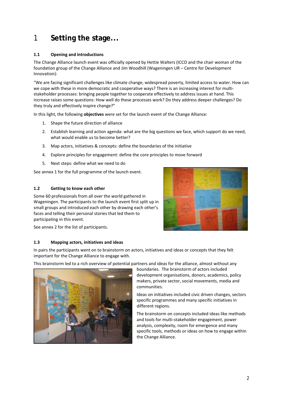## 1 **Setting the stage...**

#### **1.1 Opening and introductions**

The Change Alliance launch event was officially opened by Hettie Walters (ICCO and the chair woman of the foundation group of the Change Alliance and Jim Woodhill (Wageningen UR – Centre for Development Innovation):

"We are facing significant challenges like climate change, widespread poverty, limited access to water. How can we cope with these in more democratic and cooperative ways? There is an increasing interest for multistakeholder processes: bringing people together to cooperate effectively to address issues at hand. This increase raises some questions: How well do these processes work? Do they address deeper challenges? Do they truly and effectively inspire change?"

In this light, the following **objectives** were set for the launch event of the Change Alliance:

- 1. Shape the future direction of alliance
- 2. Establish learning and action agenda: what are the big questions we face, which support do we need, what would enable us to become better?
- 3. Map actors, initiatives & concepts: define the boundaries of the initiative
- 4. Explore principles for engagement: define the core principles to move forward
- 5. Next steps: define what we need to do

See annex 1 for the full programme of the launch event.

#### **1.2 Getting to know each other**

Some 60 professionals from all over the world gathered in Wageningen. The participants to the launch event first split up in small groups and introduced each other by drawing each other's faces and telling their personal stories that led them to participating in this event.



See annex 2 for the list of participants.

#### **1.3 Mapping actors, initiatives and ideas**

In pairs the participants went on to brainstorm on actors, initiatives and ideas or concepts that they felt important for the Change Alliance to engage with.

This brainstorm led to a rich overview of potential partners and ideas for the alliance, almost without any



boundaries. The brainstorm of actors included development organisations, donors, academics, policy makers, private sector, social movements, media and communities.

Ideas on initiatives included civic driven changes, sectors specific programmes and many specific initiatives in different regions.

The brainstorm on concepts included ideas like methods and tools for multi‐stakeholder engagement, power analysis, complexity, room for emergence and many specific tools, methods or ideas on how to engage within the Change Alliance.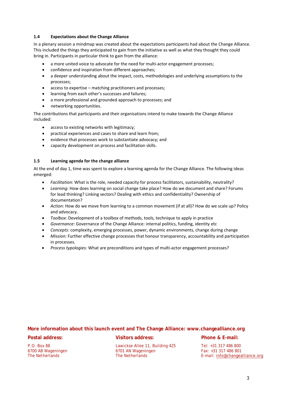#### **1.4 Expectations about the Change Alliance**

In a plenary session a mindmap was created about the expectations participants had about the Change Alliance. This included the things they anticipated to gain from the initiative as well as what they thought they could bring in. Participants in particular think to gain from the alliance:

- a more united voice to advocate for the need for multi-actor engagement processes;
- confidence and inspiration from different approaches;
- a deeper understanding about the impact, costs, methodologies and underlying assumptions to the processes;
- access to expertise matching practitioners and processes;
- learning from each other's successes and failures;
- a more professional and grounded approach to processes; and
- networking opportunities.

The contributions that participants and their organisations intend to make towards the Change Alliance included:

- access to existing networks with legitimacy;
- practical experiences and cases to share and learn from;
- evidence that processes work to substantiate advocacy; and
- capacity development on process and facilitation skills.

#### **1.5 Learning agenda for the change alliance**

At the end of day 1, time was spent to explore a learning agenda for the Change Alliance. The following ideas emerged:

- *Facilitation:* What is the role, needed capacity for process facilitators, sustainability, neutrality?
- *Learning:* How does learning on social change take place? How do we document and share? Forums for lead thinking? Linking sectors? Dealing with ethics and confidentiality? Ownership of documentation?
- *Action:* How do we move from learning to a common movement (if at all)? How do we scale up? Policy and advocacy.
- *Toolbox:* Development of a toolbox of methods, tools, technique to apply in practice
- *Governance:* Governance of the Change Alliance: internal politics, funding, identity etc
- *Concepts:* complexity, emerging processes, power, dynamic environments, change during change
- *Mission:* Further effective change processes that honour transparency, accountability and participation in processes.
- *Process typologies:* What are preconditions and types of multi‐actor engagement processes?

#### **More information about this launch event and The Change Alliance: www.changealliance.org**

#### **Postal address:**

P.O. Box 88 6700 AB Wageningen The Netherlands

#### **Visitors address:**

Lawickse Allee 11, Building 425 6701 AN Wageningen The Netherlands

#### **Phone & E-mail:**

Tel: +31 317 486 800 Fax: +31 317 486 801 E-mail: info@changealliance.org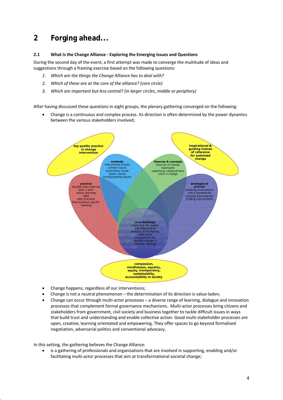## **2 Forging ahead...**

#### **2.1 What is the Change Alliance ‐ Exploring the Emerging Issues and Questions**

During the second day of the event, a first attempt was made to converge the multitude of ideas and suggestions through a framing exercise based on the following questions:

- *1. Which are the things the Change Alliance has to deal with?*
- *2. Which of these are at the core of the alliance? (core circle)*
- *3. Which are important but less central? (in larger circles, middle or periphery)*

After having discussed these questions in eight groups, the plenary gathering converged on the following:

• Change is a continuous and complex process. Its direction is often determined by the power dynamics between the various stakeholders involved;



- Change happens, regardless of our interventions;
- Change is not a neutral phenomenon the determination of its direction is value‐laden;
- Change can occur through multi‐actor processes a diverse range of learning, dialogue and innovation processes that complement formal governance mechanisms. Multi‐actor processes bring citizens and stakeholders from government, civil society and business together to tackle difficult issues in ways that build trust and understanding and enable collective action. Good multi‐stakeholder processes are open, creative, learning orientated and empowering. They offer spaces to go beyond formalised negotiation, adversarial politics and conventional advocacy.

In this setting, the gathering believes the Change Alliance:

• is a gathering of professionals and organisations that are involved in supporting, enabling and/or facilitating multi-actor processes that aim at transformational societal change;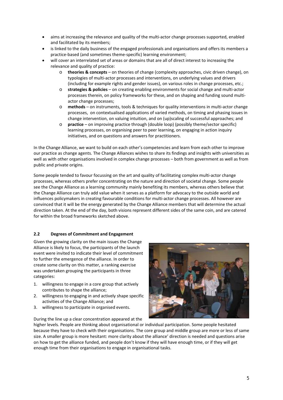- aims at increasing the relevance and quality of the multi-actor change processes supported, enabled and facilitated by its members;
- is linked to the daily business of the engaged professionals and organisations and offers its members a practice‐based (and sometimes theme‐specific) learning environment;
- will cover an interrelated set of areas or domains that are all of direct interest to increasing the relevance and quality of practice:
	- o **theories & concepts** on theories of change (complexity approaches, civic driven change), on typologies of multi‐actor processes and interventions, on underlying values and drivers (including for example rights and gender issues), on various roles in change processes, etc.;
	- o **strategies & policies** on creating enabling environments for social change and multi‐actor processes therein, on policy frameworks for these, and on shaping and funding sound multi‐ actor change processes;
	- o **methods** on instruments, tools & techniques for quality interventions in multi‐actor change processes, on contextualised applications of varied methods, on timing and phasing issues in change intervention, on valuing intuition, and on (up)scaling of successful approaches; and
	- o **practice** on improving practice through (double loop) (possibly theme/sector specific) learning processes, on organising peer to peer learning, on engaging in action inquiry initiatives, and on questions and answers for practitioners.

In the Change Alliance, we want to build on each other's competencies and learn from each other to improve our practice as change agents. The Change Alliances wishes to share its findings and insights with universities as well as with other organisations involved in complex change processes – both from government as well as from public and private origins.

Some people tended to favour focussing on the art and quality of facilitating complex multi‐actor change processes, whereas others prefer concentrating on the nature and direction of societal change. Some people see the Change Alliance as a learning community mainly benefiting its members, whereas others believe that the Change Alliance can truly add value when it serves as a platform for advocacy to the outside world and influences policymakers in creating favourable conditions for multi‐actor change processes. All however are convinced that it will be the energy generated by the Change Alliance members that will determine the actual direction taken. At the end of the day, both visions represent different sides of the same coin, and are catered for within the broad frameworks sketched above.

#### **2.2 Degrees of Commitment and Engagement**

Given the growing clarity on the main issues the Change Alliance is likely to focus, the participants of the launch event were invited to indicate their level of commitment to further the emergence of the alliance. In order to create some clarity on this matter, a ranking exercise was undertaken grouping the participants in three categories:

- 1. willingness to engage in a core group that actively contributes to shape the alliance;
- 2. willingness to engaging in and actively shape specific activities of the Change Alliance; and
- 3. willingness to participate in organised events.



During the line up a clear concentration appeared at the

higher levels. People are thinking about organisational or individual participation. Some people hesitated because they have to check with their organisations. The core group and middle group are more or less of same size. A smaller group is more hesitant: more clarity about the alliance' direction is needed and questions arise on how to get the alliance funded, and people don't know if they will have enough time, or if they will get enough time from their organisations to engage in organisational tasks.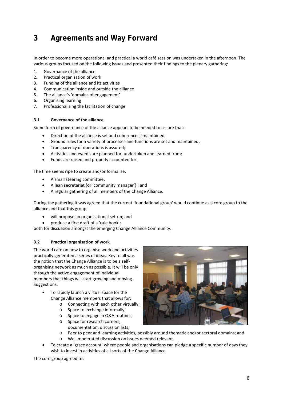## **3 Agreements and Way Forward**

In order to become more operational and practical a world café session was undertaken in the afternoon. The various groups focused on the following issues and presented their findings to the plenary gathering:

- 1. Governance of the alliance
- 2. Practical organisation of work
- 3. Funding of the alliance and its activities
- 4. Communication inside and outside the alliance
- 5. The alliance's 'domains of engagement'
- 6. Organising learning
- 7. Professionalising the facilitation of change

#### **3.1 Governance of the alliance**

Some form of governance of the alliance appears to be needed to assure that:

- Direction of the alliance is set and coherence is maintained;
- Ground rules for a variety of processes and functions are set and maintained;
- Transparency of operations is assured;
- Activities and events are planned for, undertaken and learned from;
- Funds are raised and properly accounted for.

The time seems ripe to create and/or formalise:

- A small steering committee;
- A lean secretariat (or 'community manager') ; and
- A regular gathering of all members of the Change Alliance.

During the gathering it was agreed that the current 'foundational group' would continue as a core group to the alliance and that this group:

- will propose an organisational set‐up; and
- produce a first draft of a 'rule book';

both for discussion amongst the emerging Change Alliance Community.

#### **3.2 Practical organisation of work**

The world café on how to organise work and activities practically generated a series of ideas. Key to all was the notion that the Change Alliance is to be a self‐ organising network as much as possible. It will be only through the active engagement of individual members that things will start growing and moving. Suggestions:

- To rapidly launch a virtual space for the Change Alliance members that allows for:
	- o Connecting with each other virtually;
	- o Space to exchange informally;
	- o Space to engage in Q&A routines; o Space for research corners,
		- documentation, discussion lists;
	- o Peer to peer and learning activities, possibly around thematic and/or sectoral domains; and
	- o Well moderated discussion on issues deemed relevant.
- To create a 'grace account' where people and organisations can pledge a specific number of days they wish to invest in activities of all sorts of the Change Alliance.

The core group agreed to:

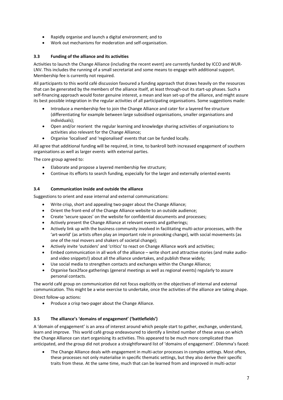- Rapidly organise and launch a digital environment; and to
- Work out mechanisms for moderation and self‐organisation.

#### **3.3 Funding of the alliance and its activities**

Activities to launch the Change Alliance (including the recent event) are currently funded by ICCO and WUR‐ LNV. This includes the running of a small secretariat and some means to engage with additional support. Membership fee is currently not required.

All participants to this world café discussion favoured a funding approach that draws heavily on the resources that can be generated by the members of the alliance itself, at least through‐out its start‐up phases. Such a self‐financing approach would foster genuine interest, a mean and lean set‐up of the alliance, and might assure its best possible integration in the regular activities of all participating organisations. Some suggestions made:

- Introduce a membership fee to join the Change Alliance and cater for a layered fee structure (differentiating for example between large subsidised organisations, smaller organisations and individuals);
- Open and/or reorient the regular learning and knowledge sharing activities of organisations to activities also relevant for the Change Alliance;
- Organise 'localised' and 'regionalised' events that can be funded locally.

All agree that additional funding will be required, in time, to bankroll both increased engagement of southern organisations as well as larger events with external parties.

The core group agreed to:

- Elaborate and propose a layered membership fee structure;
- Continue its efforts to search funding, especially for the larger and externally oriented events

#### **3.4 Communication inside and outside the alliance**

Suggestions to orient and ease internal and external communications:

- Write crisp, short and appealing two‐pager about the Change Alliance;
- Orient the front-end of the Change Alliance website to an outside audience;
- Create 'secure spaces' on the website for confidential documents and processes;
- Actively present the Change Alliance at relevant events and gatherings;
- Actively link up with the business community involved in facilitating multi-actor processes, with the 'art‐world' (as artists often play an important role in provoking change), with social movements (as one of the real movers and shakers of societal change);
- Actively invite 'outsiders' and 'critics' to react on Change Alliance work and activities;
- Embed communication in all work of the alliance write short and attractive stories (and make audio‐ and video snippets!) about all the alliance undertakes, and publish these widely;
- Use social media to strengthen contacts and exchanges within the Change Alliance;
- Organise face2face gatherings (general meetings as well as regional events) regularly to assure personal contacts.

The world café group on communication did not focus explicitly on the objectives of internal and external communication. This might be a wise exercise to undertake, once the activities of the alliance are taking shape.

Direct follow‐up actions:

• Produce a crisp two‐pager about the Change Alliance.

#### **3.5 The alliance's 'domains of engagement' ('battlefields')**

A 'domain of engagement' is an area of interest around which people start to gather, exchange, understand, learn and improve. This world café group endeavoured to identify a limited number of these areas on which the Change Alliance can start organising its activities. This appeared to be much more complicated than anticipated, and the group did not produce a straightforward list of 'domains of engagement'. Dilemma's faced:

The Change Alliance deals with engagement in multi-actor processes in complex settings. Most often, these processes not only materialise in specific thematic settings, but they also derive their specific traits from these. At the same time, much that can be learned from and improved in multi‐actor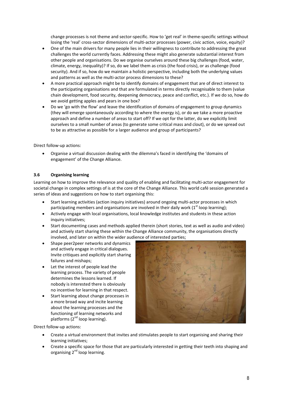change processes is not theme and sector-specific. How to 'get real' in theme-specific settings without losing the 'real' cross-sector dimensions of multi-actor processes (power, civic action, voice, equity)?

- One of the main drivers for many people lies in their willingness to contribute to addressing the great challenges the world currently faces. Addressing these might also generate substantial interest from other people and organisations. Do we organise ourselves around these big challenges (food, water, climate, energy, inequality)? If so, do we label them as crisis (the food crisis), or as challenge (food security). And if so, how do we maintain a holistic perspective, including both the underlying values and patterns as well as the multi-actor process dimensions to these?
- A more practical approach might be to identify domains of engagement that are of direct interest to the participating organisations and that are formulated in terms directly recognisable to them (value chain development, food security, deepening democracy, peace and conflict, etc.). If we do so, how do we avoid getting apples and pears in one box?
- Do we 'go with the flow' and leave the identification of domains of engagement to group dynamics (they will emerge spontaneously according to where the energy is), or do we take a more proactive approach and define a number of areas to start off? If we opt for the latter, do we explicitly limit ourselves to a small number of areas (to generate some critical mass and clout), or do we spread out to be as attractive as possible for a larger audience and group of participants?

Direct follow‐up actions:

• Organise a virtual discussion dealing with the dilemma's faced in identifying the 'domains of engagement' of the Change Alliance.

#### **3.6 Organising learning**

Learning on how to improve the relevance and quality of enabling and facilitating multi-actor engagement for societal change in complex settings of is at the core of the Change Alliance. This world café session generated a series of ideas and suggestions on how to start organising this:

- Start learning activities (action inquiry initiatives) around ongoing multi‐actor processes in which participating members and organisations are involved in their daily work  $(1<sup>st</sup>$  loop learning);
- Actively engage with local organisations, local knowledge institutes and students in these action inquiry initiatives;
- Start documenting cases and methods applied therein (short stories, text as well as audio and video) and actively start sharing these within the Change Alliance community, the organisations directly involved, and later on within the wider audience of interested parties;
- Shape peer2peer networks and dynamics and actively engage in critical dialogues. Invite critiques and explicitly start sharing failures and mishaps;
- Let the interest of people lead the learning process. The variety of people determines the lessons learned. If nobody is interested there is obviously no incentive for learning in that respect.
- Start learning about change processes in a more broad way and incite learning about the learning processes and the functioning of learning networks and platforms  $(2^{nd}$  loop learning).



Direct follow‐up actions:

- Create a virtual environment that invites and stimulates people to start organising and sharing their learning initiatives;
- Create a specific space for those that are particularly interested in getting their teeth into shaping and organising 2<sup>nd</sup> loop learning.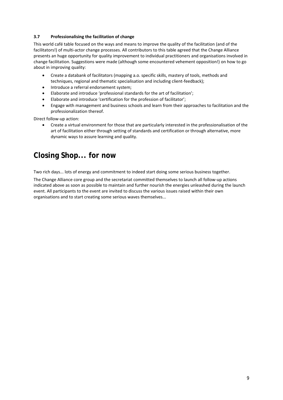#### **3.7 Professionalising the facilitation of change**

This world café table focused on the ways and means to improve the quality of the facilitation (and of the facilitators!) of multi‐actor change processes. All contributors to this table agreed that the Change Alliance presents an huge opportunity for quality improvement to individual practitioners and organisations involved in change facilitation. Suggestions were made (although some encountered vehement opposition!) on how to go about in improving quality:

- Create a databank of facilitators (mapping a.o. specific skills, mastery of tools, methods and techniques, regional and thematic specialisation and including client‐feedback);
- Introduce a referral endorsement system;
- Elaborate and introduce 'professional standards for the art of facilitation';
- Elaborate and introduce 'certification for the profession of facilitator';
- Engage with management and business schools and learn from their approaches to facilitation and the professionalization thereof.

Direct follow‐up action:

• Create a virtual environment for those that are particularly interested in the professionalisation of the art of facilitation either through setting of standards and certification or through alternative, more dynamic ways to assure learning and quality.

### **Closing Shop... for now**

Two rich days... lots of energy and commitment to indeed start doing some serious business together.

The Change Alliance core group and the secretariat committed themselves to launch all follow‐up actions indicated above as soon as possible to maintain and further nourish the energies unleashed during the launch event. All participants to the event are invited to discuss the various issues raised within their own organisations and to start creating some serious waves themselves...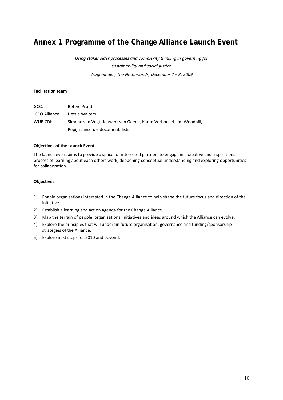## **Annex 1 Programme of the Change Alliance Launch Event**

*Using stakeholder processes and complexity thinking in governing for sustainability and social justice Wageningen, The Netherlands, December 2 – 3, 2009*

#### **Facilitation team**

| GCC:           | <b>Bettye Pruitt</b>                                               |
|----------------|--------------------------------------------------------------------|
| ICCO Alliance: | <b>Hettie Walters</b>                                              |
| WUR CDI:       | Simone van Vugt, Jouwert van Geene, Karen Verhoosel, Jim Woodhill, |
|                | Pepijn Jansen, 6 documentalists                                    |

#### **Objectives of the Launch Event**

The launch event aims to provide a space for interested partners to engage in a creative and inspirational process of learning about each others work, deepening conceptual understanding and exploring opportunities for collaboration.

#### **Objectives**

- 1) Enable organisations interested in the Change Alliance to help shape the future focus and direction of the initiative.
- 2) Establish a learning and action agenda for the Change Alliance.
- 3) Map the terrain of people, organisations, initiatives and ideas around which the Alliance can evolve.
- 4) Explore the principles that will underpin future organisation, governance and funding/sponsorship strategies of the Alliance.
- 5) Explore next steps for 2010 and beyond.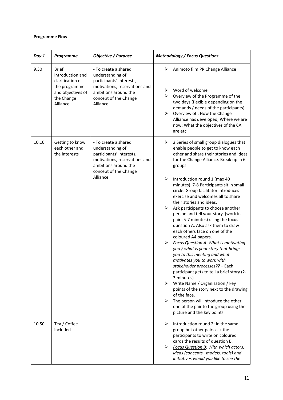#### **Programme Flow**

| Day 1 | Programme                                                                                                            | <b>Objective / Purpose</b>                                                                                                                                         | <b>Methodology / Focus Questions</b>                                                                                                                                                                                                                                                                                                                                                                                                                                                                                                                                                                                                                                                                                                                                                                                                                                                                                                                                                                                                                                                                                      |
|-------|----------------------------------------------------------------------------------------------------------------------|--------------------------------------------------------------------------------------------------------------------------------------------------------------------|---------------------------------------------------------------------------------------------------------------------------------------------------------------------------------------------------------------------------------------------------------------------------------------------------------------------------------------------------------------------------------------------------------------------------------------------------------------------------------------------------------------------------------------------------------------------------------------------------------------------------------------------------------------------------------------------------------------------------------------------------------------------------------------------------------------------------------------------------------------------------------------------------------------------------------------------------------------------------------------------------------------------------------------------------------------------------------------------------------------------------|
| 9.30  | <b>Brief</b><br>introduction and<br>clarification of<br>the programme<br>and objectives of<br>the Change<br>Alliance | - To create a shared<br>understanding of<br>participants' interests,<br>motivations, reservations and<br>ambitions around the<br>concept of the Change<br>Alliance | ➤<br>Animoto film PR Change Alliance<br>Word of welcome<br>➤<br>Overview of the Programme of the<br>➤<br>two days (flexible depending on the<br>demands / needs of the participants)<br>Overview of : How the Change<br>➤<br>Alliance has developed; Where we are<br>now; What the objectives of the CA<br>are etc.                                                                                                                                                                                                                                                                                                                                                                                                                                                                                                                                                                                                                                                                                                                                                                                                       |
| 10.10 | Getting to know<br>each other and<br>the interests                                                                   | - To create a shared<br>understanding of<br>participants' interests,<br>motivations, reservations and<br>ambitions around the<br>concept of the Change<br>Alliance | ➤<br>2 Series of small group dialogues that<br>enable people to get to know each<br>other and share their stories and ideas<br>for the Change Alliance. Break up in 6<br>groups.<br>$\blacktriangleright$<br>Introduction round 1 (max 40<br>minutes). 7-8 Participants sit in small<br>circle. Group facilitator introduces<br>exercise and welcomes all to share<br>their stories and ideas.<br>$\blacktriangleright$<br>Ask participants to choose another<br>person and tell your story (work in<br>pairs 5-7 minutes) using the focus<br>question A. Also ask them to draw<br>each others face on one of the<br>coloured A4 papers.<br>➤<br><b>Focus Question A: What is motivating</b><br>you / what is your story that brings<br>you to this meeting and what<br>motivates you to work with<br>stakeholder processes?? - Each<br>participant gets to tell a brief story (2-<br>3 minutes).<br>≻<br>Write Name / Organisation / key<br>points of the story next to the drawing<br>of the face.<br>➤<br>The person will introduce the other<br>one of the pair to the group using the<br>picture and the key points. |
| 10.50 | Tea / Coffee<br>included                                                                                             |                                                                                                                                                                    | ≻<br>Introduction round 2: In the same<br>group but other pairs ask the<br>participants to write on coloured<br>cards the results of question B.<br>➤<br>Focus Question B: With which actors,<br>ideas (concepts, models, tools) and<br>initiatives would you like to see the                                                                                                                                                                                                                                                                                                                                                                                                                                                                                                                                                                                                                                                                                                                                                                                                                                             |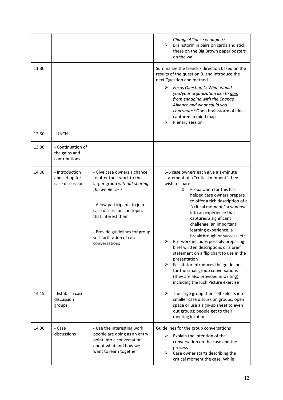|                |                                                      |                                                                                                                                                                                                                                                                                 | Change Alliance engaging?<br>➤<br>Brainstorm in pairs on cards and stick<br>these on the Big Brown paper posters<br>on the wall.                                                                                                                                                                                                                                                                                                                                                                                                                                                                                                                                                                     |
|----------------|------------------------------------------------------|---------------------------------------------------------------------------------------------------------------------------------------------------------------------------------------------------------------------------------------------------------------------------------|------------------------------------------------------------------------------------------------------------------------------------------------------------------------------------------------------------------------------------------------------------------------------------------------------------------------------------------------------------------------------------------------------------------------------------------------------------------------------------------------------------------------------------------------------------------------------------------------------------------------------------------------------------------------------------------------------|
| 11.30<br>12.30 | <b>LUNCH</b>                                         |                                                                                                                                                                                                                                                                                 | Summarize the trends / direction based on the<br>results of the question B. and introduce the<br>next Question and method.<br>⋗<br><b>Focus Question C: What would</b><br>you/your organization like to gain<br>from engaging with the Change<br>Alliance and what could you<br>contribute? Open brainstorm of ideas,<br>captured in mind map<br>Plenary session<br>⋗                                                                                                                                                                                                                                                                                                                                |
| 13.30          | - Continuation of<br>the gains and<br>contributions  |                                                                                                                                                                                                                                                                                 |                                                                                                                                                                                                                                                                                                                                                                                                                                                                                                                                                                                                                                                                                                      |
| 14.00          | - Introduction<br>and set up for<br>case discussions | - Give case owners a chance<br>to offer their work to the<br>larger group without sharing<br>the whole case<br>- Allow participants to join<br>case discussions on topics<br>that interest them<br>- Provide guidelines for group<br>self-facilitation of case<br>conversations | 5-6 case owners each give a 1-minute<br>statement of a "critical moment" they<br>wish to share:<br>Preparation for this has<br>$\circ$<br>helped case owners prepare<br>to offer a rich description of a<br>"critical moment," a window<br>into an experience that<br>captures a significant<br>challenge, an important<br>learning experience, a<br>breakthrough or success, etc.<br>Pre-work includes possibly preparing<br>⋗<br>brief written descriptions or a brief<br>statement on a flip chart to use in the<br>presentation<br>Facilitator introduces the guidelines<br>➤<br>for the small group conversations<br>(they are also provided in writing)<br>including the Rich Picture exercise |
| 14.15          | - Establish case<br>discussion<br>groups             |                                                                                                                                                                                                                                                                                 | The large group then self-selects into<br>➤<br>smaller case discussion groups: open<br>space or use a sign-up sheet to even<br>out groups; people get to their<br>meeting locations                                                                                                                                                                                                                                                                                                                                                                                                                                                                                                                  |
| 14.30          | - Case<br>discussions                                | - Use the interesting work<br>people are doing as an entry<br>point into a conversation<br>about what and how we<br>want to learn together                                                                                                                                      | Guidelines for the group conversations<br>Explain the intention of the<br>⋗<br>conversation on the case and the<br>process<br>Case owner starts describing the<br>⋗<br>critical moment the case. While                                                                                                                                                                                                                                                                                                                                                                                                                                                                                               |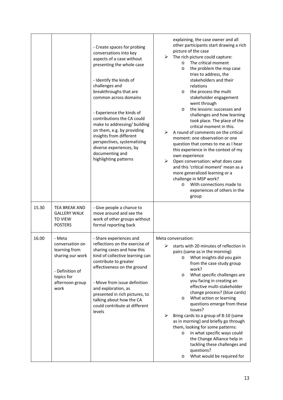|       |                                                                                                                            | - Create spaces for probing<br>conversations into key<br>aspects of a case without<br>presenting the whole case<br>- Identify the kinds of<br>challenges and<br>breakthroughs that are<br>common across domains<br>- Experience the kinds of<br>contributions the CA could<br>make to addressing/ building<br>on them, e.g. by providing<br>insights from different<br>perspectives, systematizing<br>diverse experiences, by<br>documenting and<br>highlighting patterns | explaining, the case owner and all<br>other participants start drawing a rich<br>picture of the case<br>The rich picture could capture:<br>➤<br>The critical moment<br>$\circ$<br>the problem the msp case<br>$\circ$<br>tries to address, the<br>stakeholders and their<br>relations<br>the process the multi<br>$\circ$<br>stakeholder engagement<br>went through<br>the lessons: successes and<br>$\circ$<br>challenges and how learning<br>took place. The place of the<br>critical moment in this.<br>A round of comments on the critical<br>➤<br>moment: one observation or one<br>question that comes to me as I hear<br>this experience in the context of my<br>own experience<br>➤<br>Open conversation: what does case<br>and this 'critical moment' mean as a<br>more generalized learning or a<br>challenge in MSP work?<br>With connections made to<br>$\circ$<br>experiences of others in the<br>group |
|-------|----------------------------------------------------------------------------------------------------------------------------|---------------------------------------------------------------------------------------------------------------------------------------------------------------------------------------------------------------------------------------------------------------------------------------------------------------------------------------------------------------------------------------------------------------------------------------------------------------------------|----------------------------------------------------------------------------------------------------------------------------------------------------------------------------------------------------------------------------------------------------------------------------------------------------------------------------------------------------------------------------------------------------------------------------------------------------------------------------------------------------------------------------------------------------------------------------------------------------------------------------------------------------------------------------------------------------------------------------------------------------------------------------------------------------------------------------------------------------------------------------------------------------------------------|
| 15.30 | <b>TEA BREAK AND</b><br><b>GALLERY WALK</b><br><b>TO VIEW</b><br><b>POSTERS</b>                                            | - Give people a chance to<br>move around and see the<br>work of other groups without<br>formal reporting back                                                                                                                                                                                                                                                                                                                                                             |                                                                                                                                                                                                                                                                                                                                                                                                                                                                                                                                                                                                                                                                                                                                                                                                                                                                                                                      |
| 16.00 | - Meta<br>conversation on<br>learning from<br>sharing our work<br>- Definition of<br>topics for<br>afternoon group<br>work | - Share experiences and<br>reflections on the exercise of<br>sharing cases and how this<br>kind of collective learning can<br>contribute to greater<br>effectiveness on the ground<br>- Move from issue definition<br>and exploration, as<br>presented in rich pictures, to<br>talking about how the CA<br>could contribute at different<br>levels                                                                                                                        | Meta conversation:<br>$\triangleright$ starts with 20 minutes of reflection in<br>pairs (same as in the morning)<br>What insights did you gain<br>$\circ$<br>from the case study group<br>work?<br>What specific challenges are<br>$\circ$<br>you facing in creating an<br>effective multi-stakeholder<br>change process? (blue cards)<br>What action or learning<br>$\circ$<br>questions emerge from these<br>issues?<br>➤<br>Bring cards to a group of 8-10 (same<br>as in morning) and briefly go through<br>them, looking for some patterns:<br>In what specific ways could<br>$\circ$<br>the Change Alliance help in<br>tackling these challenges and<br>questions?<br>What would be required for<br>$\circ$                                                                                                                                                                                                    |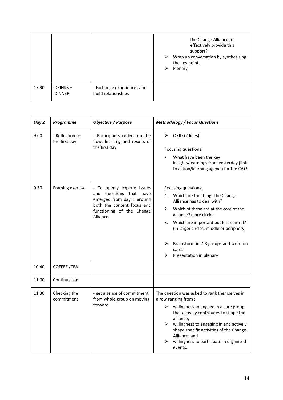|       |                           |                                                   | the Change Alliance to<br>effectively provide this<br>support?<br>Wrap up conversation by synthesising<br>➤<br>the key points<br>Plenary<br>⋗ |
|-------|---------------------------|---------------------------------------------------|-----------------------------------------------------------------------------------------------------------------------------------------------|
| 17.30 | DRINKS +<br><b>DINNER</b> | - Exchange experiences and<br>build relationships |                                                                                                                                               |

| Day 2 | <b>Programme</b>                 | <b>Objective / Purpose</b>                                                            | <b>Methodology / Focus Questions</b>                                                                        |  |
|-------|----------------------------------|---------------------------------------------------------------------------------------|-------------------------------------------------------------------------------------------------------------|--|
| 9.00  | - Reflection on<br>the first day | - Participants reflect on the<br>flow, learning and results of                        | ORID (2 lines)<br>➤                                                                                         |  |
|       |                                  | the first day                                                                         | Focusing questions:                                                                                         |  |
|       |                                  |                                                                                       | What have been the key<br>insights/learnings from yesterday (link<br>to action/learning agenda for the CA)? |  |
| 9.30  | Framing exercise                 | - To openly explore issues                                                            | Focusing questions:                                                                                         |  |
|       |                                  | questions that have<br>and<br>emerged from day 1 around<br>both the content focus and | Which are the things the Change<br>1.<br>Alliance has to deal with?                                         |  |
|       |                                  | functioning of the Change<br>Alliance                                                 | Which of these are at the core of the<br>2.<br>alliance? (core circle)                                      |  |
|       |                                  |                                                                                       | Which are important but less central?<br>3.<br>(in larger circles, middle or periphery)                     |  |
|       |                                  |                                                                                       | Brainstorm in 7-8 groups and write on<br>➤<br>cards                                                         |  |
|       |                                  |                                                                                       | ➤<br>Presentation in plenary                                                                                |  |
| 10.40 | COFFEE /TEA                      |                                                                                       |                                                                                                             |  |
| 11.00 | Continuation                     |                                                                                       |                                                                                                             |  |
| 11.30 | Checking the<br>commitment       | - get a sense of commitment<br>from whole group on moving                             | The question was asked to rank themselves in<br>a row ranging from :                                        |  |
|       |                                  | forward                                                                               | willingness to engage in a core group<br>➤<br>that actively contributes to shape the<br>alliance;           |  |
|       |                                  |                                                                                       | ➤<br>willingness to engaging in and actively<br>shape specific activities of the Change                     |  |
|       |                                  |                                                                                       | Alliance; and<br>willingness to participate in organised<br>events.                                         |  |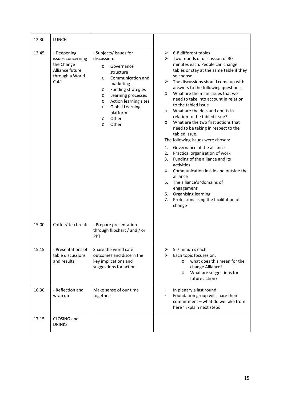| 12.30 | <b>LUNCH</b>                                                                                 |                                                                                                                                                                                                                                                                                                                   |                                                                                                                                                                                                                                                                                                                                                                                                                                                                                                                                                                                                                                                                                                                                                                                                                                                                                                                                     |
|-------|----------------------------------------------------------------------------------------------|-------------------------------------------------------------------------------------------------------------------------------------------------------------------------------------------------------------------------------------------------------------------------------------------------------------------|-------------------------------------------------------------------------------------------------------------------------------------------------------------------------------------------------------------------------------------------------------------------------------------------------------------------------------------------------------------------------------------------------------------------------------------------------------------------------------------------------------------------------------------------------------------------------------------------------------------------------------------------------------------------------------------------------------------------------------------------------------------------------------------------------------------------------------------------------------------------------------------------------------------------------------------|
| 13.45 | - Deepening<br>issues concerning<br>the Change<br>Alliance future<br>through a World<br>Café | - Subjects/ issues for<br>discussion:<br>Governance<br>$\circ$<br>structure<br>Communication and<br>$\circ$<br>marketing<br>Funding strategies<br>$\circ$<br>Learning processes<br>$\circ$<br>Action learning sites<br>O<br><b>Global Learning</b><br>$\circ$<br>platform<br>Other<br>$\circ$<br>Other<br>$\circ$ | 6-8 different tables<br>➤<br>Two rounds of discussion of 30<br>➤<br>minutes each. People can change<br>tables or stay at the same table if they<br>so choose.<br>The discussions should come up with<br>➤<br>answers to the following questions:<br>What are the main issues that we<br>$\circ$<br>need to take into account in relation<br>to the tabled issue<br>What are the do's and don'ts in<br>$\circ$<br>relation to the tabled issue?<br>What are the two first actions that<br>$\circ$<br>need to be taking in respect to the<br>tabled issue.<br>The following issues were chosen:<br>Governance of the alliance<br>1.<br>Practical organisation of work<br>2.<br>Funding of the alliance and its<br>3.<br>activities<br>Communication inside and outside the<br>4.<br>alliance<br>The alliance's 'domains of<br>5.<br>engagement'<br>Organising learning<br>6.<br>Professionalising the facilitation of<br>7.<br>change |
| 15.00 | Coffee/ tea break                                                                            | - Prepare presentation<br>through flipchart / and / or<br>PPT                                                                                                                                                                                                                                                     |                                                                                                                                                                                                                                                                                                                                                                                                                                                                                                                                                                                                                                                                                                                                                                                                                                                                                                                                     |
| 15.15 | - Presentations of<br>table discussions<br>and results                                       | Share the world café<br>outcomes and discern the<br>key implications and<br>suggestions for action.                                                                                                                                                                                                               | 5-7 minutes each<br>⋗<br>Each topic focuses on:<br>⋗<br>what does this mean for the<br>change Alliance?<br>What are suggestions for<br>$\circ$<br>future action?                                                                                                                                                                                                                                                                                                                                                                                                                                                                                                                                                                                                                                                                                                                                                                    |
| 16.30 | - Reflection and<br>wrap up                                                                  | Make sense of our time<br>together                                                                                                                                                                                                                                                                                | In plenary a last round<br>Foundation group will share their<br>commitment - what do we take from<br>here? Explain next steps                                                                                                                                                                                                                                                                                                                                                                                                                                                                                                                                                                                                                                                                                                                                                                                                       |
| 17.15 | CLOSING and<br><b>DRINKS</b>                                                                 |                                                                                                                                                                                                                                                                                                                   |                                                                                                                                                                                                                                                                                                                                                                                                                                                                                                                                                                                                                                                                                                                                                                                                                                                                                                                                     |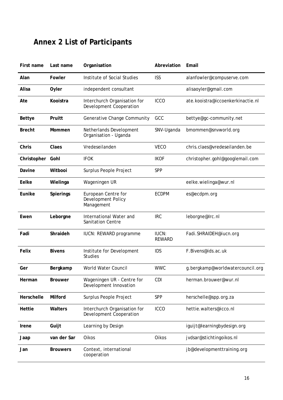## **Annex 2 List of Participants**

| First name    | Last name       | Organisation                                                   | Abreviation                   | Email                             |
|---------------|-----------------|----------------------------------------------------------------|-------------------------------|-----------------------------------|
| Alan          | Fowler          | Institute of Social Studies                                    | <b>ISS</b>                    | alanfowler@compuserve.com         |
| Alisa         | Oyler           | independent consultant                                         |                               | alisaoyler@gmail.com              |
| Ate           | Kooistra        | Interchurch Organisation for<br><b>Development Cooperation</b> | <b>ICCO</b>                   | ate.kooistra@iccoenkerkinactie.nl |
| <b>Bettye</b> | Pruitt          | Generative Change Community                                    | GCC                           | bettye@gc-community.net           |
| <b>Brecht</b> | Mommen          | Netherlands Development<br>Organisation - Uganda               | SNV-Uganda                    | bmommen@snvworld.org              |
| Chris         | Claes           | Vredeseilanden                                                 | <b>VECO</b>                   | chris.claes@vredeseilanden.be     |
| Christopher   | Gohl            | <b>IFOK</b>                                                    | <b>IKOF</b>                   | christopher.gohl@googlemail.com   |
| Davine        | Witbooi         | Surplus People Project                                         | SPP                           |                                   |
| Eelke         | Wielinga        | Wageningen UR                                                  |                               | eelke.wielinga@wur.nl             |
| Eunike        | Spierings       | European Centre for<br>Development Policy<br>Management        | <b>ECDPM</b>                  | es@ecdpm.org                      |
| Ewen          | Leborgne        | International Water and<br>Sanitation Centre                   | <b>IRC</b>                    | leborgne@Irc.nl                   |
| Fadi          | Shraideh        | IUCN: REWARD programme                                         | <b>IUCN:</b><br><b>REWARD</b> | Fadi.SHRAIDEH@iucn.org            |
| Felix         | <b>Bivens</b>   | Institute for Development<br><b>Studies</b>                    | <b>IDS</b>                    | F.Bivens@ids.ac.uk                |
| Ger           | Bergkamp        | World Water Council                                            | <b>WWC</b>                    | g.bergkamp@worldwatercouncil.org  |
| Herman        | <b>Brouwer</b>  | Wageningen UR - Centre for<br>Development Innovation           | <b>CDI</b>                    | herman.brouwer@wur.nl             |
| Herschelle    | Milford         | Surplus People Project                                         | SPP                           | herschelle@spp.org.za             |
| Hettie        | Walters         | Interchurch Organisation for<br>Development Cooperation        | <b>ICCO</b>                   | hettie.walters@icco.nl            |
| Irene         | Guijt           | Learning by Design                                             |                               | iguijt@learningbydesign.org       |
| Jaap          | van der Sar     | Oikos                                                          | Oikos                         | jvdsar@stichtingoikos.nl          |
| Jan           | <b>Brouwers</b> | Context, international<br>cooperation                          |                               | jb@developmenttraining.org        |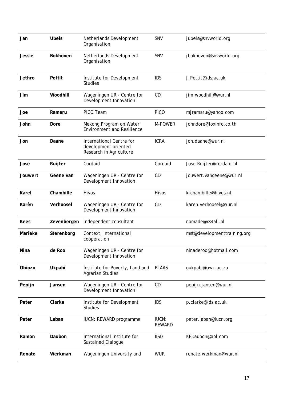| Jan           | <b>Ubels</b>    | Netherlands Development<br>Organisation                                     | SNV                           | jubels@snvworld.org         |
|---------------|-----------------|-----------------------------------------------------------------------------|-------------------------------|-----------------------------|
| <b>Jessie</b> | <b>Bokhoven</b> | Netherlands Development<br>Organisation                                     | <b>SNV</b>                    | jbokhoven@snvworld.org      |
| Jethro        | Pettit          | Institute for Development<br><b>Studies</b>                                 | <b>IDS</b>                    | J.Pettit@ids.ac.uk          |
| Jim           | Woodhill        | Wageningen UR - Centre for<br>Development Innovation                        | CDI                           | jim.woodhill@wur.nl         |
| Joe           | Ramaru          | PICO Team                                                                   | <b>PICO</b>                   | mjramaru@yahoo.com          |
| John          | Dore            | Mekong Program on Water<br><b>Environment and Resilience</b>                | M-POWER                       | johndore@loxinfo.co.th      |
| Jon           | Daane           | International Centre for<br>development oriented<br>Research in Agriculture | <b>ICRA</b>                   | jon.daane@wur.nl            |
| José          | Ruijter         | Cordaid                                                                     | Cordaid                       | Jose.Ruijter@cordaid.nl     |
| Jouwert       | Geene van       | Wageningen UR - Centre for<br>Development Innovation                        | <b>CDI</b>                    | jouwert.vangeene@wur.nl     |
| Karel         | Chambille       | Hivos                                                                       | Hivos                         | k.chambille@hivos.nl        |
| Karèn         | Verhoosel       | Wageningen UR - Centre for<br>Development Innovation                        | <b>CDI</b>                    | karen.verhoosel@wur.nl      |
| Kees          | Zevenbergen     | independent consultant                                                      |                               | nomade@xs4all.nl            |
| Marieke       | Sterenborg      | Context, international<br>cooperation                                       |                               | mst@developmenttraining.org |
| Nina          | de Roo          | Wageningen UR - Centre for<br>Development Innovation                        |                               | ninaderoo@hotmail.com       |
| Obiozo        | Ukpabi          | Institute for Poverty, Land and<br><b>Agrarian Studies</b>                  | <b>PLAAS</b>                  | oukpabi@uwc.ac.za           |
| Pepijn        | Jansen          | Wageningen UR - Centre for<br>Development Innovation                        | CDI                           | pepijn.jansen@wur.nl        |
| Peter         | Clarke          | Institute for Development<br><b>Studies</b>                                 | <b>IDS</b>                    | p.clarke@ids.ac.uk          |
| Peter         | Laban           | IUCN: REWARD programme                                                      | <b>IUCN:</b><br><b>REWARD</b> | peter.laban@iucn.org        |
| Ramon         | Daubon          | International Institute for<br>Sustained Dialogue                           | <b>IISD</b>                   | KFDaubon@aol.com            |
| Renate        | Werkman         | Wageningen University and                                                   | <b>WUR</b>                    | renate.werkman@wur.nl       |